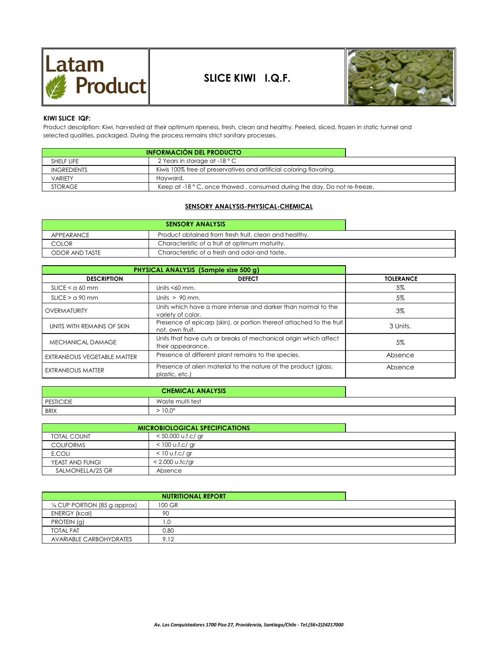



## **KIWI SLICE IQF:**

selected qualities, packaged. During the process remains strict sanitary processes. Product description: Kiwi, harvested at their optimum ripeness, fresh, clean and healthy. Peeled, sliced, frozen in static tunnel and

| <b>INFORMACIÓN DEL PRODUCTO</b> |                                                                          |
|---------------------------------|--------------------------------------------------------------------------|
| SHELF LIFE                      | 2 Years in storage at -18 $^{\circ}$ C                                   |
| <b>INGREDIENTS</b>              | Kiwis 100% free of preservatives and artificial coloring flavoring.      |
| <b>VARIETY</b>                  | Havward.                                                                 |
| <b>STORAGE</b>                  | Keep at -18 ° C, once thawed, consumed during the day. Do not re-freeze. |

## **SENSORY ANALYSIS-PHYSICAL-CHEMICAL**

| <b>SENSORY ANALYSIS</b> |                                                       |  |
|-------------------------|-------------------------------------------------------|--|
| APPEARANCE              | Product obtained from fresh fruit, clean and healthy. |  |
| COLOR                   | Characteristic of a fruit at optimum maturity.        |  |
| <b>ODOR AND TASTE</b>   | Characteristic of a fresh and odor-and taste          |  |

| PHYSICAL ANALYSIS (Sample size 500 g) |                                                                                         |                  |
|---------------------------------------|-----------------------------------------------------------------------------------------|------------------|
| <b>DESCRIPTION</b>                    | <b>DEFECT</b>                                                                           | <b>TOLERANCE</b> |
| SLICE < a 60 mm                       | Units $< 60$ mm.                                                                        | 5%               |
| $SLICE > q$ 90 mm                     | Units $> 90$ mm.                                                                        | 5%               |
| OVERMATURITY                          | Units which have a more intense and darker than normal to the<br>variety of color.      | $3\%$            |
| UNITS WITH REMAINS OF SKIN            | Presence of epicarp (skin), or portion thereof attached to the fruit<br>not, own fruit. | 3 Units.         |
| <b>MECHANICAL DAMAGE</b>              | Units that have cuts or breaks of mechanical origin which affect<br>their appearance.   | 5%               |
| EXTRANEOUS VEGETABLE MATTER           | Presence of different plant remains to the species.                                     | Absence          |
| EXTRANEOUS MATTER                     | Presence of alien material to the nature of the product (glass,<br>plastic, etc.)       | Absence          |

| <b>CHEMICAL ANALYSIS</b> |                  |  |
|--------------------------|------------------|--|
| <b>PESTICIDE</b>         | Waste multi test |  |
| <b>BRIX</b>              | $10.0^\circ$     |  |

| <b>MICROBIOLOGICAL SPECIFICATIONS</b> |                      |  |
|---------------------------------------|----------------------|--|
| <b>TOTAL COUNT</b>                    | $<$ 50,000 u.f.c/ gr |  |
| <b>COLIFORMS</b>                      | $<$ 100 u.f.c/ gr    |  |
| E.COLI                                | $<$ 10 u.f.c/ gr     |  |
| YEAST AND FUNGI                       | $< 2.000$ u.fc/gr    |  |
| SALMONELLA/25 GR                      | Absence              |  |

| <b>NUTRITIONAL REPORT</b>               |        |  |
|-----------------------------------------|--------|--|
| $\frac{1}{8}$ CUP PORTION (85 g approx) | 100 GR |  |
| <b>ENERGY (kcal)</b>                    | 90     |  |
| PROTEIN (g)                             |        |  |
| <b>TOTAL FAT</b>                        | 0.80   |  |
| <b>AVARIABLE CARBOHYDRATES</b>          | 9.12   |  |